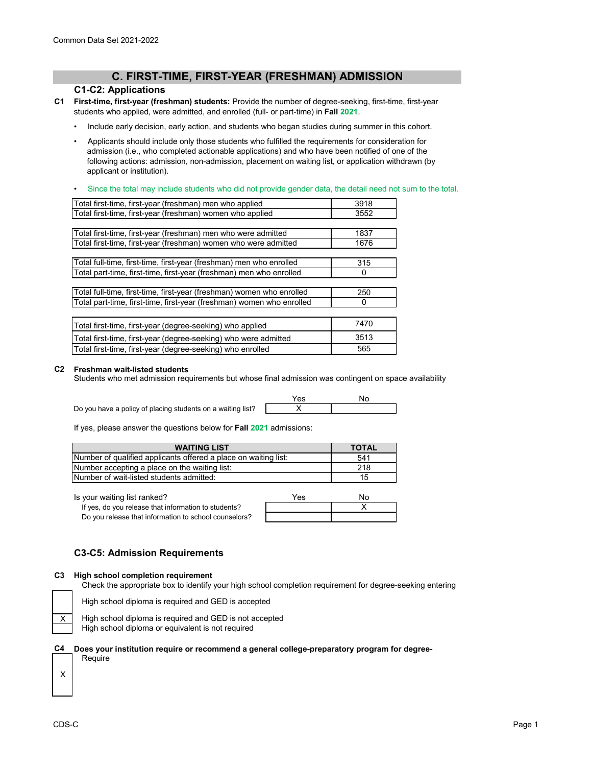# **C. FIRST-TIME, FIRST-YEAR (FRESHMAN) ADMISSION**

## **C1-C2: Applications**

- **C1 First-time, first-year (freshman) students:** Provide the number of degree-seeking, first-time, first-year students who applied, were admitted, and enrolled (full- or part-time) in **Fall 2021**.
	- Include early decision, early action, and students who began studies during summer in this cohort.
	- Applicants should include only those students who fulfilled the requirements for consideration for admission (i.e., who completed actionable applications) and who have been notified of one of the following actions: admission, non-admission, placement on waiting list, or application withdrawn (by applicant or institution).
	- Since the total may include students who did not provide gender data, the detail need not sum to the total.

| Total first-time, first-year (freshman) men who applied               | 3918 |
|-----------------------------------------------------------------------|------|
| Total first-time, first-year (freshman) women who applied             | 3552 |
|                                                                       |      |
| Total first-time, first-year (freshman) men who were admitted         | 1837 |
| Total first-time, first-year (freshman) women who were admitted       | 1676 |
|                                                                       |      |
| Total full-time, first-time, first-year (freshman) men who enrolled   | 315  |
| Total part-time, first-time, first-year (freshman) men who enrolled   | O    |
|                                                                       |      |
| Total full-time, first-time, first-year (freshman) women who enrolled | 250  |
| Total part-time, first-time, first-year (freshman) women who enrolled | 0    |
|                                                                       |      |
| Total first-time, first-year (degree-seeking) who applied             | 7470 |
| Total first-time, first-year (degree-seeking) who were admitted       | 3513 |
| Total first-time, first-year (degree-seeking) who enrolled            | 565  |

#### **C2 Freshman wait-listed students**

Students who met admission requirements but whose final admission was contingent on space availability

|                                                             | 'es |  |
|-------------------------------------------------------------|-----|--|
| Do you have a policy of placing students on a waiting list? |     |  |

If yes, please answer the questions below for **Fall 2021** admissions:

| <b>WAITING LIST</b>                                             | <b>TOTAL</b> |
|-----------------------------------------------------------------|--------------|
| Number of qualified applicants offered a place on waiting list: | 541          |
| Number accepting a place on the waiting list:                   | 218          |
| Number of wait-listed students admitted:                        | 15           |

Is your waiting list ranked?

If yes, do you release that information to students? Do you release that information to school counselors?

| Yes | No |
|-----|----|
|     |    |
|     |    |

# **C3-C5: Admission Requirements**

### **C3 High school completion requirement**

Check the appropriate box to identify your high school completion requirement for degree-seeking entering

X

High school diploma is required and GED is accepted



High school diploma is required and GED is not accepted

High school diploma or equivalent is not required

#### **C4 Does your institution require or recommend a general college-preparatory program for degree-**

X

Require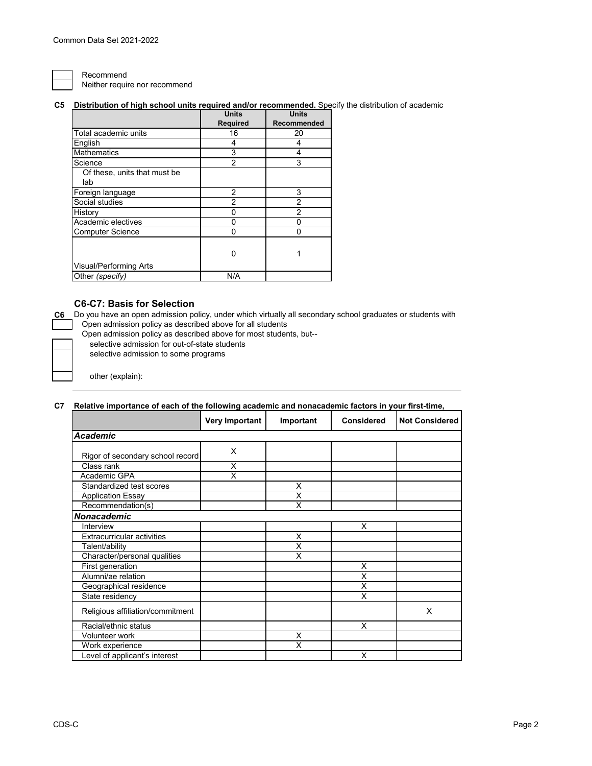Recommend Neither require nor recommend

## **C5 Distribution of high school units required and/or recommended.** Specify the distribution of academic

|                              | <b>Units</b>    | <b>Units</b> |
|------------------------------|-----------------|--------------|
|                              | <b>Required</b> | Recommended  |
| Total academic units         | 16              | 20           |
| English                      | 4               | 4            |
| <b>Mathematics</b>           | 3               | 4            |
| Science                      | 2               | 3            |
| Of these, units that must be |                 |              |
| lab                          |                 |              |
| Foreign language             | 2               | 3            |
| Social studies               | 2               | 2            |
| History                      |                 | 2            |
| Academic electives           | O               | 0            |
| <b>Computer Science</b>      | 0               | ი            |
|                              |                 |              |
|                              | n               |              |
| Visual/Performing Arts       |                 |              |
| Other (specify)              | N/A             |              |

## **C6-C7: Basis for Selection**

**C6** Do you have an open admission policy, under which virtually all secondary school graduates or students with Open admission policy as described above for all students

Open admission policy as described above for most students, but--

selective admission for out-of-state students

selective admission to some programs

other (explain):

## **C7 Relative importance of each of the following academic and nonacademic factors in your first-time,**

|                                   | <b>Very Important</b> | Important | <b>Considered</b> | <b>Not Considered</b> |
|-----------------------------------|-----------------------|-----------|-------------------|-----------------------|
| <b>Academic</b>                   |                       |           |                   |                       |
| Rigor of secondary school record  | X                     |           |                   |                       |
| Class rank                        | X                     |           |                   |                       |
| Academic GPA                      | X                     |           |                   |                       |
| Standardized test scores          |                       | X         |                   |                       |
| <b>Application Essay</b>          |                       | X         |                   |                       |
| Recommendation(s)                 |                       | X         |                   |                       |
| Nonacademic                       |                       |           |                   |                       |
| Interview                         |                       |           | X                 |                       |
| <b>Extracurricular activities</b> |                       | X         |                   |                       |
| Talent/ability                    |                       | x         |                   |                       |
| Character/personal qualities      |                       | Χ         |                   |                       |
| First generation                  |                       |           | X                 |                       |
| Alumni/ae relation                |                       |           | X                 |                       |
| Geographical residence            |                       |           | X                 |                       |
| State residency                   |                       |           | X                 |                       |
| Religious affiliation/commitment  |                       |           |                   | X                     |
| Racial/ethnic status              |                       |           | X                 |                       |
| Volunteer work                    |                       | X         |                   |                       |
| Work experience                   |                       | X         |                   |                       |
| Level of applicant's interest     |                       |           | X                 |                       |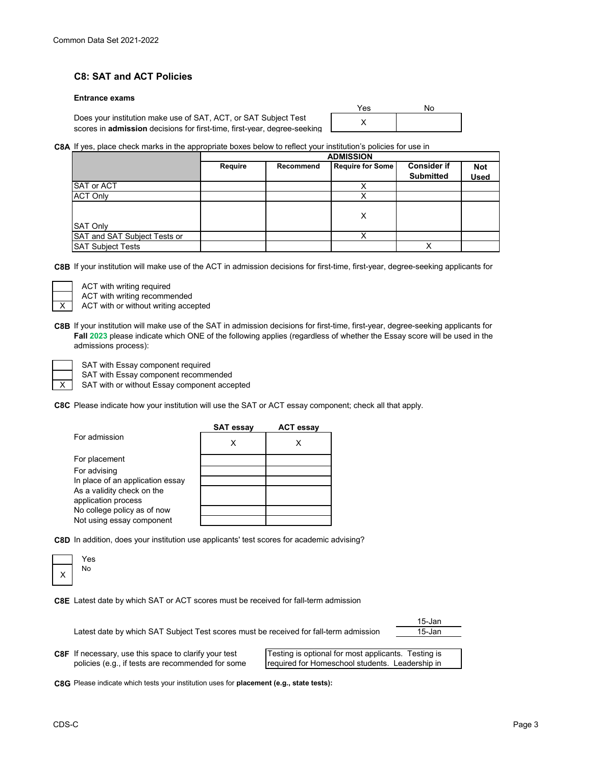# **C8: SAT and ACT Policies**

### **Entrance exams**

Does your institution make use of SAT, ACT, or SAT Subject Test scores in **admission** decisions for first-time, first-year, degree-seeking

| Yes | No |
|-----|----|
| v.  |    |

## **C8A** If yes, place check marks in the appropriate boxes below to reflect your institution's policies for use in

|                              | <b>ADMISSION</b> |           |                         |                    |             |
|------------------------------|------------------|-----------|-------------------------|--------------------|-------------|
|                              | Require          | Recommend | <b>Require for Some</b> | <b>Consider if</b> | <b>Not</b>  |
|                              |                  |           |                         | <b>Submitted</b>   | <b>Used</b> |
| <b>SAT or ACT</b>            |                  |           | v                       |                    |             |
| <b>ACT Only</b>              |                  |           |                         |                    |             |
|                              |                  |           |                         |                    |             |
|                              |                  |           | X                       |                    |             |
| <b>SAT Only</b>              |                  |           |                         |                    |             |
| SAT and SAT Subject Tests or |                  |           |                         |                    |             |
| <b>SAT Subject Tests</b>     |                  |           |                         | Χ                  |             |

**C8B** If your institution will make use of the ACT in admission decisions for first-time, first-year, degree-seeking applicants for



ACT with writing required

ACT with writing recommended

ACT with or without writing accepted

**C8B** If your institution will make use of the SAT in admission decisions for first-time, first-year, degree-seeking applicants for **Fall 2023** please indicate which ONE of the following applies (regardless of whether the Essay score will be used in the admissions process):

X

SAT with Essay component required

SAT with Essay component recommended

SAT with or without Essay component accepted

**C8C** Please indicate how your institution will use the SAT or ACT essay component; check all that apply.

|                                  | <b>SAT essay</b> | <b>ACT essay</b> |
|----------------------------------|------------------|------------------|
| For admission                    | х                |                  |
| For placement                    |                  |                  |
| For advising                     |                  |                  |
| In place of an application essay |                  |                  |
| As a validity check on the       |                  |                  |
| application process              |                  |                  |
| No college policy as of now      |                  |                  |
| Not using essay component        |                  |                  |

**C8D** In addition, does your institution use applicants' test scores for academic advising?

| es      |
|---------|
| ٧o<br>ľ |
|         |
|         |

**C8E** Latest date by which SAT or ACT scores must be received for fall-term admission

15-Jan 15-Jan Latest date by which SAT Subject Test scores must be received for fall-term admission

**C8F** If necessary, use this space to clarify your test policies (e.g., if tests are recommended for some

Testing is optional for most applicants. Testing is required for Homeschool students. Leadership in

**C8G** Please indicate which tests your institution uses for **placement (e.g., state tests):**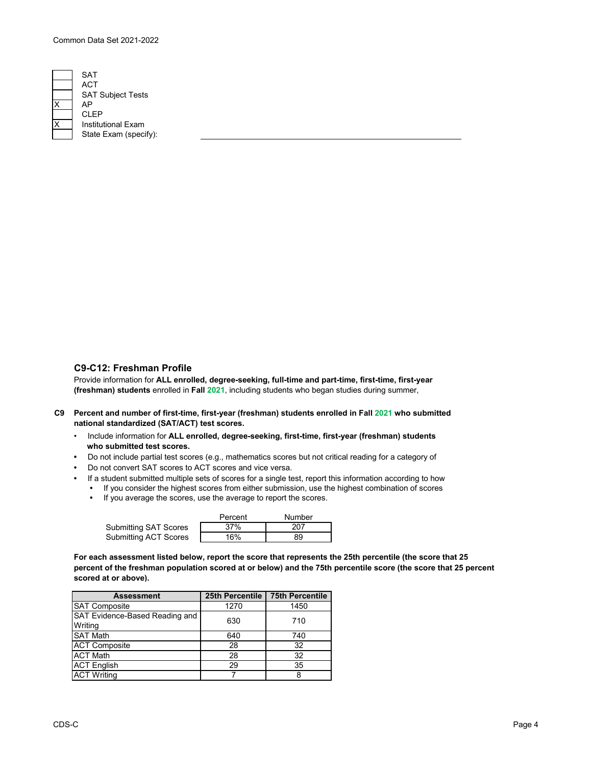

SAT Subject Tests CLEP **Institutional Exam** State Exam (specify): **ACT** 

## **C9-C12: Freshman Profile**

Provide information for **ALL enrolled, degree-seeking, full-time and part-time, first-time, first-year (freshman) students** enrolled in **Fall 2021**, including students who began studies during summer,

is the field of time that  $\mathcal{M}(\mathcal{M})$  is the distribution of the distribution of the distribution of the distribution of the distribution of the distribution of the distribution of the distribution of the distribution

- **C9 Percent and number of first-time, first-year (freshman) students enrolled in Fall 2021 who submitted national standardized (SAT/ACT) test scores.**
	- Include information for **ALL enrolled, degree-seeking, first-time, first-year (freshman) students who submitted test scores.**
	- Do not include partial test scores (e.g., mathematics scores but not critical reading for a category of
	- Do not convert SAT scores to ACT scores and vice versa.
	- If a student submitted multiple sets of scores for a single test, report this information according to how
		- If you consider the highest scores from either submission, use the highest combination of scores
		- If you average the scores, use the average to report the scores.

|                              | Percent | Number |
|------------------------------|---------|--------|
| <b>Submitting SAT Scores</b> | 37%     | 207    |
| <b>Submitting ACT Scores</b> | 16%     | 89     |

**For each assessment listed below, report the score that represents the 25th percentile (the score that 25 percent of the freshman population scored at or below) and the 75th percentile score (the score that 25 percent scored at or above).**

| <b>Assessment</b>                         | 25th Percentile | <b>75th Percentile</b> |
|-------------------------------------------|-----------------|------------------------|
| <b>SAT Composite</b>                      | 1270            | 1450                   |
| SAT Evidence-Based Reading and<br>Writing | 630             | 710                    |
| <b>SAT Math</b>                           | 640             | 740                    |
| <b>ACT Composite</b>                      | 28              | 32                     |
| <b>ACT Math</b>                           | 28              | 32                     |
| <b>ACT</b> English                        | 29              | 35                     |
| <b>ACT Writing</b>                        |                 |                        |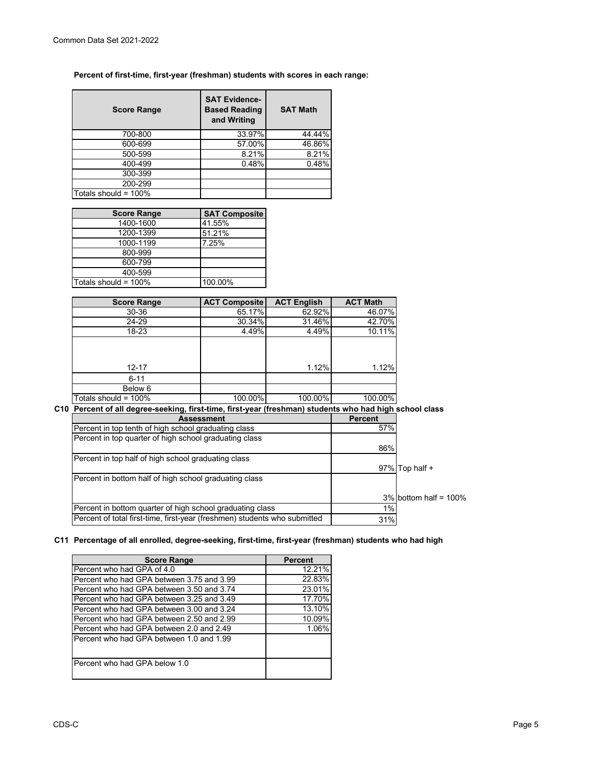## **Percent of first-time, first-year (freshman) students with scores in each range:**

| <b>Score Range</b>      | <b>SAT Evidence-</b><br><b>Based Reading</b><br>and Writing | <b>SAT Math</b> |
|-------------------------|-------------------------------------------------------------|-----------------|
| 700-800                 | 33.97%                                                      | 44.44%          |
| 600-699                 | 57.00%                                                      | 46.86%          |
| 500-599                 | 8.21%                                                       | 8.21%           |
| 400-499                 | 0.48%                                                       | 0.48%           |
| 300-399                 |                                                             |                 |
| 200-299                 |                                                             |                 |
| Totals should = $100\%$ |                                                             |                 |

| <b>Score Range</b>   | <b>SAT Composite</b> |
|----------------------|----------------------|
| 1400-1600            | 41.55%               |
| 1200-1399            | 51.21%               |
| 1000-1199            | 7.25%                |
| 800-999              |                      |
| 600-799              |                      |
| 400-599              |                      |
| Totals should = 100% | 100.00%              |

| <b>Score Range</b>   | <b>ACT Composite</b> | <b>ACT English</b> | <b>ACT Math</b> |
|----------------------|----------------------|--------------------|-----------------|
| 30-36                | 65.17%               | 62.92%             | 46.07%          |
| 24-29                | 30.34%               | 31.46%             | 42.70%          |
| 18-23                | 4.49%                | 4.49%              | 10.11%          |
| $12 - 17$            |                      | 1.12%              | 1.12%           |
| $6 - 11$             |                      |                    |                 |
| Below 6              |                      |                    |                 |
| Totals should = 100% | 100.00%              | 100.00%            | 100.00%         |

**C10 Percent of all degree-seeking, first-time, first-year (freshman) students who had high school class** 

| <b>Assessment</b>                                                         | <b>Percent</b> |                          |
|---------------------------------------------------------------------------|----------------|--------------------------|
| Percent in top tenth of high school graduating class                      | 57%            |                          |
| Percent in top quarter of high school graduating class                    |                |                          |
|                                                                           | 86%            |                          |
| Percent in top half of high school graduating class                       |                |                          |
|                                                                           |                | 97% Top half +           |
| Percent in bottom half of high school graduating class                    |                |                          |
|                                                                           |                |                          |
|                                                                           |                | $3\%$ bottom half = 100% |
| Percent in bottom quarter of high school graduating class                 | 1%             |                          |
| Percent of total first-time, first-year (freshmen) students who submitted | 31%            |                          |

## **C11 Percentage of all enrolled, degree-seeking, first-time, first-year (freshman) students who had high**

| <b>Score Range</b>                        | <b>Percent</b> |
|-------------------------------------------|----------------|
| Percent who had GPA of 4.0                | 12.21%         |
| Percent who had GPA between 3.75 and 3.99 | 22.83%         |
| Percent who had GPA between 3.50 and 3.74 | 23.01%         |
| Percent who had GPA between 3.25 and 3.49 | 17.70%         |
| Percent who had GPA between 3.00 and 3.24 | 13.10%         |
| Percent who had GPA between 2.50 and 2.99 | 10.09%         |
| Percent who had GPA between 2.0 and 2.49  | 1.06%          |
| Percent who had GPA between 1.0 and 1.99  |                |
| Percent who had GPA below 1.0             |                |

Ξ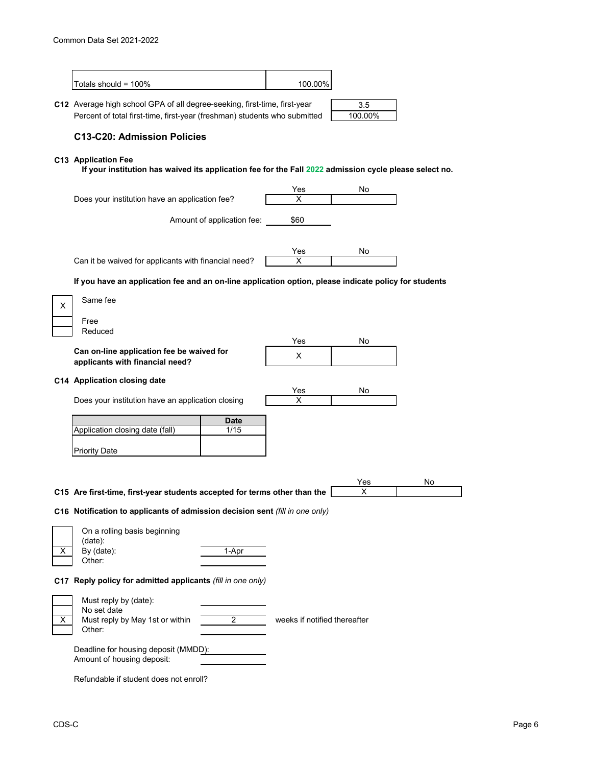|    | Totals should = 100%                                                                                                                                   |                            | 100.00%                      |                |    |
|----|--------------------------------------------------------------------------------------------------------------------------------------------------------|----------------------------|------------------------------|----------------|----|
|    | C12 Average high school GPA of all degree-seeking, first-time, first-year<br>Percent of total first-time, first-year (freshman) students who submitted |                            |                              | 3.5<br>100.00% |    |
|    | <b>C13-C20: Admission Policies</b>                                                                                                                     |                            |                              |                |    |
|    | C13 Application Fee<br>If your institution has waived its application fee for the Fall 2022 admission cycle please select no.                          |                            |                              |                |    |
|    | Does your institution have an application fee?                                                                                                         |                            | Yes<br>х                     | No             |    |
|    |                                                                                                                                                        | Amount of application fee: | \$60                         |                |    |
|    | Can it be waived for applicants with financial need?                                                                                                   |                            | Yes<br>X                     | No             |    |
|    | If you have an application fee and an on-line application option, please indicate policy for students                                                  |                            |                              |                |    |
| X  | Same fee                                                                                                                                               |                            |                              |                |    |
|    | Free<br>Reduced                                                                                                                                        |                            |                              |                |    |
|    | Can on-line application fee be waived for<br>applicants with financial need?                                                                           |                            | Yes<br>X                     | No             |    |
|    | C14 Application closing date                                                                                                                           |                            |                              |                |    |
|    | Does your institution have an application closing                                                                                                      |                            | Yes<br>X                     | No             |    |
|    | Application closing date (fall)                                                                                                                        | Date<br>1/15               |                              |                |    |
|    | <b>Priority Date</b>                                                                                                                                   |                            |                              |                |    |
|    |                                                                                                                                                        |                            |                              |                |    |
|    | C15 Are first-time, first-year students accepted for terms other than the                                                                              |                            |                              | Yes<br>X       | No |
|    | C16 Notification to applicants of admission decision sent (fill in one only)                                                                           |                            |                              |                |    |
|    | On a rolling basis beginning                                                                                                                           |                            |                              |                |    |
| X. | (data):<br>By (date):<br>Other:                                                                                                                        | 1-Apr                      |                              |                |    |
|    | C17 Reply policy for admitted applicants (fill in one only)                                                                                            |                            |                              |                |    |
| X. | Must reply by (date):<br>No set date<br>Must reply by May 1st or within<br>Other:                                                                      | $\overline{2}$             | weeks if notified thereafter |                |    |
|    | Deadline for housing deposit (MMDD):<br>Amount of housing deposit:                                                                                     |                            |                              |                |    |
|    | Refundable if student does not enroll?                                                                                                                 |                            |                              |                |    |